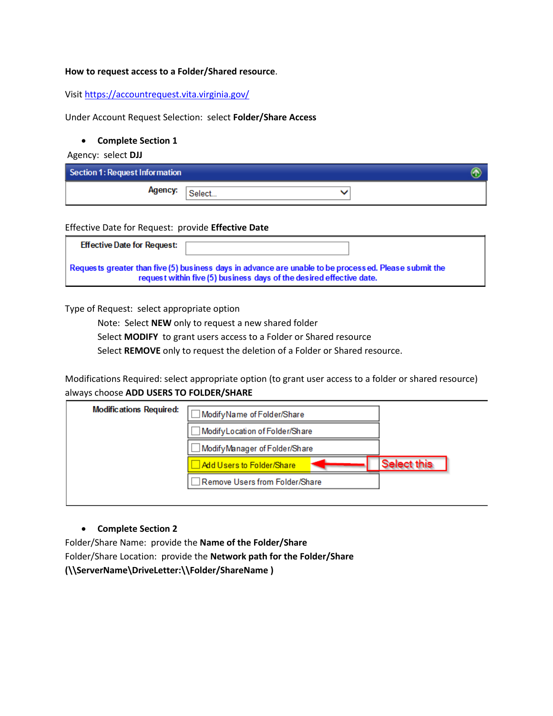#### **How to request access to a Folder/Shared resource**.

Visit<https://accountrequest.vita.virginia.gov/>

Under Account Request Selection: select **Folder/Share Access**

#### **Complete Section 1**

Agency: select **DJJ**

| Section 1: Request Information |         |  |
|--------------------------------|---------|--|
| Agency:                        | `Select |  |

Effective Date for Request: provide **Effective Date**

| <b>Effective Date for Request:</b>                                                                                                                                            |  |  |  |  |
|-------------------------------------------------------------------------------------------------------------------------------------------------------------------------------|--|--|--|--|
| Requests greater than five (5) business days in advance are unable to be processed. Please submit the<br>request within five (5) business days of the desired effective date. |  |  |  |  |

Type of Request: select appropriate option

Note: Select **NEW** only to request a new shared folder

Select **MODIFY** to grant users access to a Folder or Shared resource

Select **REMOVE** only to request the deletion of a Folder or Shared resource.

Modifications Required: select appropriate option (to grant user access to a folder or shared resource) always choose **ADD USERS TO FOLDER/SHARE**



# **Complete Section 2**

Folder/Share Name: provide the **Name of the Folder/Share**  Folder/Share Location: provide the **Network path for the Folder/Share (\\ServerName\DriveLetter:\\Folder/ShareName )**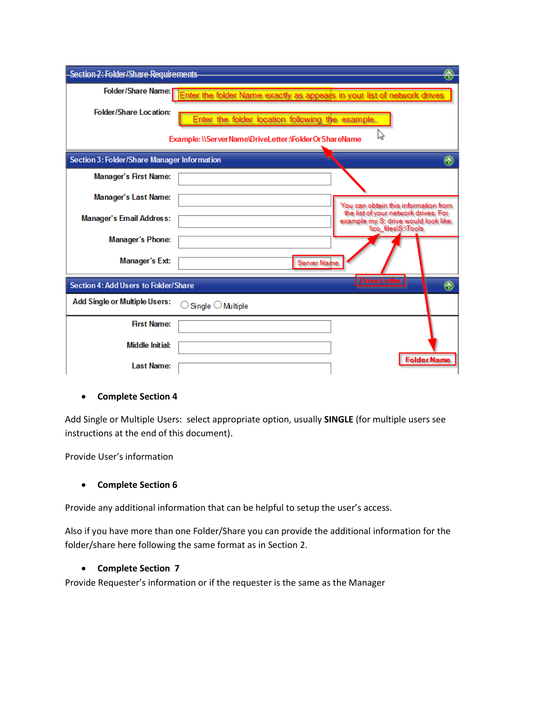| Section 2: Folder/Share Requirements                                        |                                                                         |                                                                                                           |  |  |
|-----------------------------------------------------------------------------|-------------------------------------------------------------------------|-----------------------------------------------------------------------------------------------------------|--|--|
| Folder/Share Name:                                                          | Enter the folder Name exactly as appears in your list of network drives |                                                                                                           |  |  |
| <b>Folder/Share Location:</b>                                               | Enter the folder location following the example                         |                                                                                                           |  |  |
| hì<br>Example: \\ServerName\DriveLetter:\FolderOrShareName                  |                                                                         |                                                                                                           |  |  |
| Section 3: Folder/Share Manager Information                                 |                                                                         | $^\circledR$                                                                                              |  |  |
| <b>Manager's First Name:</b>                                                |                                                                         |                                                                                                           |  |  |
| <b>Manager's Last Name:</b>                                                 |                                                                         | You can obtain this information from                                                                      |  |  |
| Manager's Email Address:                                                    |                                                                         | the list of your network drives. For<br>example my S: drive would look like:<br><b>Nco</b> files\S:\Tools |  |  |
| <b>Manager's Phone:</b>                                                     |                                                                         |                                                                                                           |  |  |
| Manager's Ext:                                                              | Server Name                                                             |                                                                                                           |  |  |
| <b>Drive Letter</b><br>Section 4: Add Users to Folder/Share<br>$^\circledR$ |                                                                         |                                                                                                           |  |  |
| <b>Add Single or Multiple Users:</b>                                        | Single $\bigcirc$ Multiple                                              |                                                                                                           |  |  |
| <b>First Name:</b>                                                          |                                                                         |                                                                                                           |  |  |
| <b>Middle Initial:</b>                                                      |                                                                         |                                                                                                           |  |  |
| <b>Last Name:</b>                                                           |                                                                         | Folder Name                                                                                               |  |  |

# **Complete Section 4**

Add Single or Multiple Users: select appropriate option, usually **SINGLE** (for multiple users see instructions at the end of this document).

Provide User's information

# **Complete Section 6**

Provide any additional information that can be helpful to setup the user's access.

Also if you have more than one Folder/Share you can provide the additional information for the folder/share here following the same format as in Section 2.

# **Complete Section 7**

Provide Requester's information or if the requester is the same as the Manager